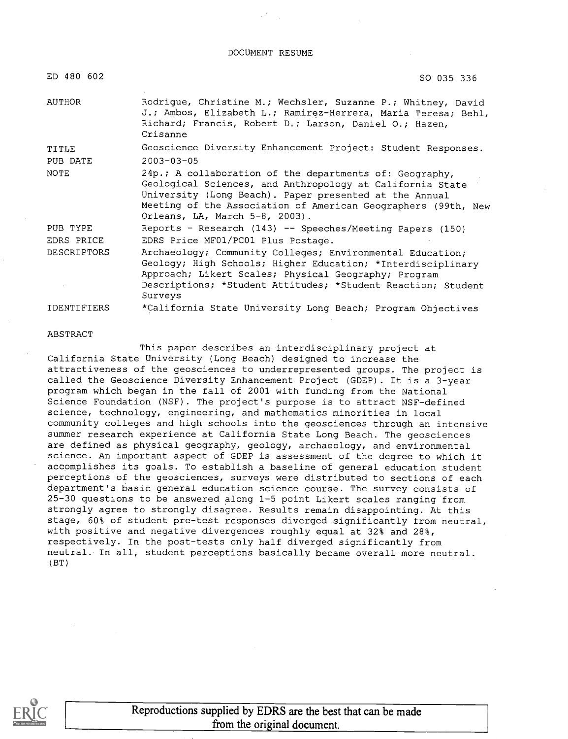DOCUMENT RESUME

| ED 480 602         | SO 035 336                                                                                                                                                                                                                                                                        |
|--------------------|-----------------------------------------------------------------------------------------------------------------------------------------------------------------------------------------------------------------------------------------------------------------------------------|
| AUTHOR             | Rodrigue, Christine M.; Wechsler, Suzanne P.; Whitney, David<br>J.; Ambos, Elizabeth L.; Ramirez-Herrera, Maria Teresa; Behl,<br>Richard; Francis, Robert D.; Larson, Daniel O.; Hazen,<br>Crisanne                                                                               |
| TITLE              | Geoscience Diversity Enhancement Project: Student Responses.                                                                                                                                                                                                                      |
| PUB DATE           | $2003 - 03 - 05$                                                                                                                                                                                                                                                                  |
| <b>NOTE</b>        | 24p.; A collaboration of the departments of: Geography,<br>Geological Sciences, and Anthropology at California State<br>University (Long Beach). Paper presented at the Annual<br>Meeting of the Association of American Geographers (99th, New<br>Orleans, LA, March 5-8, 2003). |
| PUB TYPE           | Reports - Research (143) -- Speeches/Meeting Papers (150)                                                                                                                                                                                                                         |
| EDRS PRICE         | EDRS Price MF01/PC01 Plus Postage.                                                                                                                                                                                                                                                |
| <b>DESCRIPTORS</b> | Archaeology; Community Colleges; Environmental Education;<br>Geology; High Schools; Higher Education; *Interdisciplinary<br>Approach; Likert Scales; Physical Geography; Program<br>Descriptions; *Student Attitudes; *Student Reaction; Student<br>Surveys                       |
| IDENTIFIERS        | *California State University Long Beach; Program Objectives                                                                                                                                                                                                                       |

#### ABSTRACT

This paper describes an interdisciplinary project at California State University (Long Beach) designed to increase the attractiveness of the geosciences to underrepresented groups. The project is called the Geoscience Diversity Enhancement Project (GDEP) . It is a 3-year program which began in the fall of 2001 with funding from the National Science Foundation (NSF). The project's purpose is to attract NSF-defined science, technology, engineering, and mathematics minorities in local community colleges and high schools into the geosciences through an intensive summer research experience at California State Long Beach. The geosciences are defined as physical geography, geology, archaeology, and environmental science. An important aspect of GDEP is assessment of the degree to which it accomplishes its goals. To establish a baseline of general education student perceptions of the geosciences, surveys were distributed to sections of each department's basic general education science course. The survey consists of 25-30 questions to be answered along 1-5 point Likert scales ranging from strongly agree to strongly disagree. Results remain disappointing. At this stage, 60% of student pre-test responses diverged significantly from neutral, with positive and negative divergences roughly equal at 32% and 28%, respectively. In the post-tests only half diverged significantly from neutral. In all, student perceptions basically became overall more neutral. (BT)

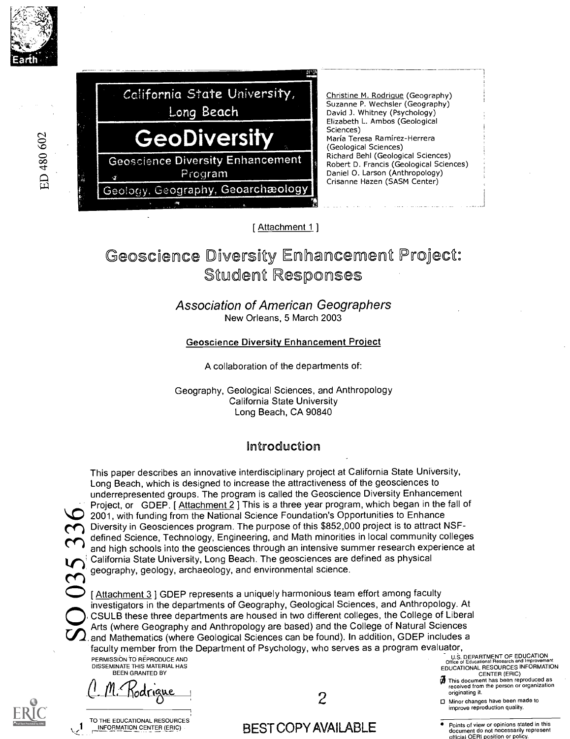



[ Attachment 1 ]

# Geoscience Diversity Enhancement Project: Student Responses

#### Association of American Geographers New Orleans, 5 March 2003

#### Geoscience Diversity Enhancement Project

A collaboration of the departments of:

Geography, Geological Sciences, and Anthropology California State University Long Beach, CA 90840

# Introduction

 $\overline{\mathbf{C}}$ 

This paper describes an innovative interdisciplinary project at California State University, Long Beach, which is designed to increase the attractiveness of the geosciences to underrepresented groups. The program is called the Geoscience Diversity Enhancement Project, or GDEP. [Attachment 2] This is a three year program, which began in the fall of  $\bullet$  2001, with funding from the National Science Foundation's Opportunities to Enhance Diversity in Geosciences program. The purpose of this \$852,000 project is to attract NSFdefined Science, Technology, Engineering, and Math minorities in local community colleges and high schools into the geosciences through an intensive summer research experience at California State University, Long Beach. The geosciences are defined as physical geography, geology, archaeology, and environmental science.

[Attachment 3 ] GDEP represents a uniquely harmonious team effort among faculty investigators in the departments of Geography, Geological Sciences, and Anthropology. At CSULB these three departments are housed in two different colleges, the College of Liberal Arts (where Geography and Anthropology are based) and the College of Natural Sciences and Mathematics (where Geological Sciences can be found). In addition, GDEP includes a faculty member from the Department of Psychology, who serves as a program evaluator, PERMISSION TO REPRODUCE AND

DISSEMINATE THIS MATERIAL HAS BEEN GRANTED BY

 $C$ - $10$ . 1001.  $\mu$ 



TO THE EDUCATIONAL RESOURCES<br>\_\_INFORMATION CENTER (ERIC)

2

# k.) INFORMATION CENTER (ERIC) - BEST COPY AVAILABLE

U.B. DEPARTMENT OF EDUCATION Office of Educational Research and Improvement EDUCATIONAL RESOURCES INFORMATION

- CENTER (ERIC)<br>This document has been reproduced as<br>received from the person or organization<br>originating it.
- 0 Minor changes have been made to improve reproduction quality.
- Points of view or opinions stated in this document do not necessarily represent official OERI position or policy.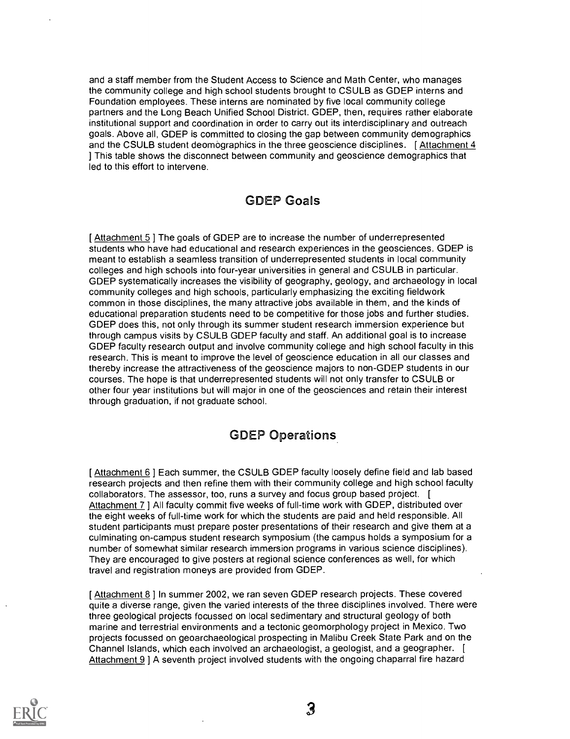and a staff member from the Student Access to Science and Math Center, who manages the community college and high school students brought to CSULB as GDEP interns and Foundation employees. These interns are nominated by five local community college partners and the Long Beach Unified School District. GDEP, then, requires rather elaborate institutional support and coordination in order to carry out its interdisciplinary and outreach goals. Above all, GDEP is committed to closing the gap between community demographics and the CSULB student deomographics in the three geoscience disciplines. [Attachment 4] ] This table shows the disconnect between community and geoscience demographics that led to this effort to intervene.

## GDEP Goals

[ Attachment 5 ] The goals of GDEP are to increase the number of underrepresented students who have had educational and research experiences in the geosciences. GDEP is meant to establish a seamless transition of underrepresented students in local community colleges and high schools into four-year universities in general and CSULB in particular. GDEP systematically increases the visibility of geography, geology, and archaeology in local community colleges and high schools, particularly emphasizing the exciting fieldwork common in those disciplines, the many attractive jobs available in them, and the kinds of educational preparation students need to be competitive for those jobs and further studies. GDEP does this, not only through its summer student research immersion experience but through campus visits by CSULB GDEP faculty and staff. An additional goal is to increase GDEP faculty research output and involve community college and high school faculty in this research. This is meant to improve the level of geoscience education in all our classes and thereby increase the attractiveness of the geoscience majors to non-GDEP students in our courses. The hope is that underrepresented students will not only transfer to CSULB or other four year institutions but will major in one of the geosciences and retain their interest through graduation, if not graduate school.

# GDEP Operations

[Attachment 6] Each summer, the CSULB GDEP faculty loosely define field and lab based research projects and then refine them with their community college and high school faculty collaborators. The assessor, too, runs a survey and focus group based project. [ Attachment 7 ] All faculty commit five weeks of full-time work with GDEP, distributed over the eight weeks of full-time work for which the students are paid and held responsible. All student participants must prepare poster presentations of their research and give them at a culminating on-campus student research symposium (the campus holds a symposium for a number of somewhat similar research immersion programs in various science disciplines). They are encouraged to give posters at regional science conferences as well, for which travel and registration moneys are provided from GDEP.

[Attachment 8] In summer 2002, we ran seven GDEP research projects. These covered quite a diverse range, given the varied interests of the three disciplines involved. There were three geological projects focussed on local sedimentary and structural geology of both marine and terrestrial environments and a tectonic geomorphology project in Mexico. Two projects focussed on geoarchaeological prospecting in Malibu Creek State Park and on the Channel Islands, which each involved an archaeologist, a geologist, and a geographer. [ Attachment 9 ] A seventh project involved students with the ongoing chaparral fire hazard

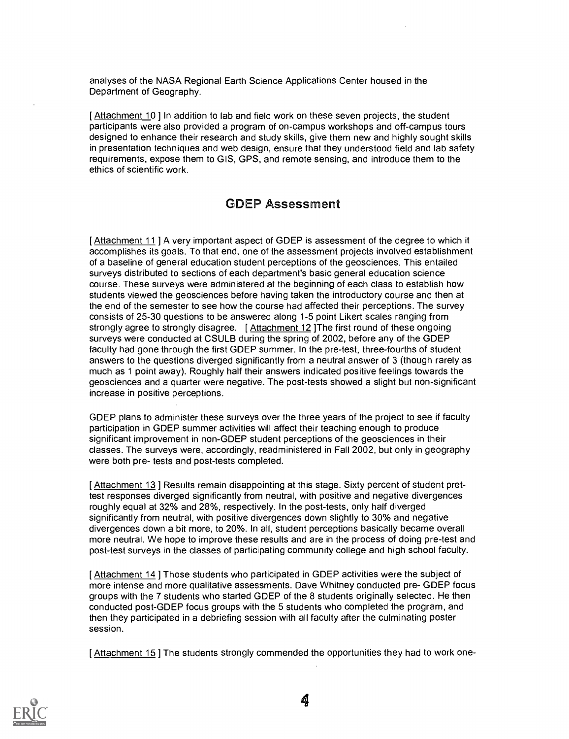analyses of the NASA Regional Earth Science Applications Center housed in the Department of Geography.

[ Attachment 10 ] In addition to lab and field work on these seven projects, the student participants were also provided a program of on-campus workshops and off-campus tours designed to enhance their research and study skills, give them new and highly sought skills in presentation techniques and web design, ensure that they understood field and lab safety requirements, expose them to GIS, GPS, and remote sensing, and introduce them to the ethics of scientific work.

#### GDEP Assessment

[ Attachment 11 ] A very important aspect of GDEP is assessment of the degree to which it accomplishes its goals. To that end, one of the assessment projects involved establishment of a baseline of general education student perceptions of the geosciences. This entailed surveys distributed to sections of each department's basic general education science course. These surveys were administered at the beginning of each class to establish how students viewed the geosciences before having taken the introductory course and then at the end of the semester to see how the course had affected their perceptions. The survey consists of 25-30 questions to be answered along 1-5 point Likert scales ranging from strongly agree to strongly disagree. [ Attachment 12 ]The first round of these ongoing surveys were conducted at CSULB during the spring of 2002, before any of the GDEP faculty had gone through the first GDEP summer. In the pre-test, three-fourths of student answers to the questions diverged significantly from a neutral answer of 3 (though rarely as much as 1 point away). Roughly half their answers indicated positive feelings towards the geosciences and a quarter were negative. The post-tests showed a slight but non-significant increase in positive perceptions.

GDEP plans to administer these surveys over the three years of the project to see if faculty participation in GDEP summer activities will affect their teaching enough to produce significant improvement in non-GDEP student perceptions of the geosciences in their classes. The surveys were, accordingly, readministered in Fall 2002, but only in geography were both pre- tests and post-tests completed.

[ Attachment 13 ] Results remain disappointing at this stage. Sixty percent of student prettest responses diverged significantly from neutral, with positive and negative divergences roughly equal at 32% and 28%, respectively. In the post-tests, only half diverged significantly from neutral, with positive divergences down slightly to 30% and negative divergences down a bit more, to 20%. In all, student perceptions basically became overall more neutral. We hope to improve these results and are in the process of doing pre-test and post-test surveys in the classes of participating community college and high school faculty.

[ Attachment 14 ] Those students who participated in GDEP activities were the subject of more intense and more qualitative assessments. Dave Whitney conducted pre- GDEP focus groups with the 7 students who started GDEP of the 8 students originally selected. He then conducted post-GDEP focus groups with the 5 students who completed the program, and then they participated in a debriefing session with all faculty after the culminating poster session.

[ Attachment 15 ] The students strongly commended the opportunities they had to work one-

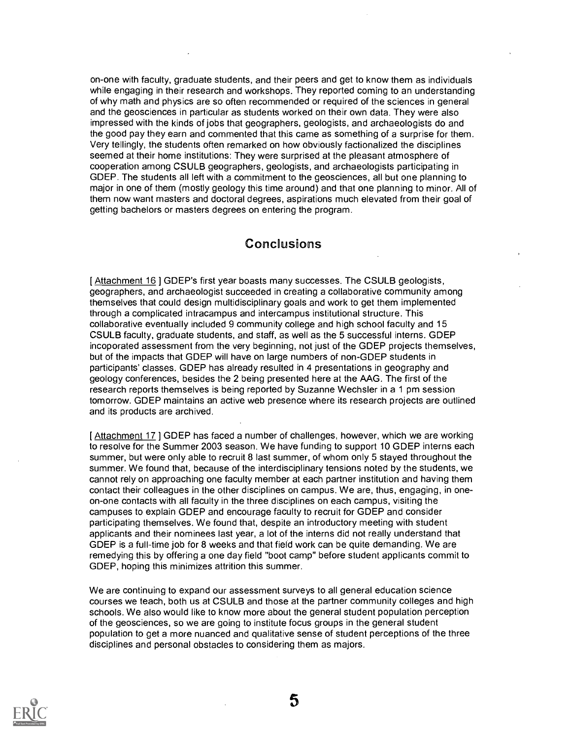on-one with faculty, graduate students, and their peers and get to know them as individuals while engaging in their research and workshops. They reported coming to an understanding of why math and physics are so often recommended or required of the sciences in general and the geosciences in particular as students worked on their own data. They were also impressed with the kinds of jobs that geographers, geologists, and archaeologists do and the good pay they earn and commented that this came as something of a surprise for them. Very tellingly, the students often remarked on how obviously factionalized the disciplines seemed at their home institutions: They were surprised at the pleasant atmosphere of cooperation among CSULB geographers, geologists, and archaeologists participating in GDEP. The students all left with a commitment to the geosciences, all but one planning to major in one of them (mostly geology this time around) and that one planning to minor. All of them now want masters and doctoral degrees, aspirations much elevated from their goal of getting bachelors or masters degrees on entering the program.

#### Conclusions

[Attachment 16] GDEP's first year boasts many successes. The CSULB geologists, geographers, and archaeologist succeeded in creating a collaborative community among themselves that could design multidisciplinary goals and work to get them implemented through a complicated intracampus and intercampus institutional structure. This collaborative eventually included 9 community college and high school faculty and 15 CSULB faculty, graduate students, and staff, as well as the 5 successful interns. GDEP incoporated assessment from the very beginning, not just of the GDEP projects themselves, but of the impacts that GDEP will have on large numbers of non-GDEP students in participants' classes. GDEP has already resulted in 4 presentations in geography and geology conferences, besides the 2 being presented here at the AAG. The first of the research reports themselves is being reported by Suzanne Wechsler in a 1 pm session tomorrow. GDEP maintains an active web presence where its research projects are outlined and its products are archived.

[ Attachment 17 ] GDEP has faced a number of challenges, however, which we are working to resolve for the Summer 2003 season. We have funding to support 10 GDEP interns each summer, but were only able to recruit 8 last summer, of whom only 5 stayed throughout the summer. We found that, because of the interdisciplinary tensions noted by the students, we cannot rely on approaching one faculty member at each partner institution and having them contact their colleagues in the other disciplines on campus. We are, thus, engaging, in oneon-one contacts with all faculty in the three disciplines on each campus, visiting the campuses to explain GDEP and encourage faculty to recruit for GDEP and consider participating themselves. We found that, despite an introductory meeting with student applicants and their nominees last year, a lot of the interns did not really understand that GDEP is a full-time job for 8 weeks and that field work can be quite demanding. We are remedying this by offering a one day field "boot camp" before student applicants commit to GDEP, hoping this minimizes attrition this summer.

We are continuing to expand our assessment surveys to all general education science courses we teach, both us at CSULB and those at the partner community colleges and high schools. We also would like to know more about the general student population perception of the geosciences, so we are going to institute focus groups in the general student population to get a more nuanced and qualitative sense of student perceptions of the three disciplines and personal obstacles to considering them as majors.



5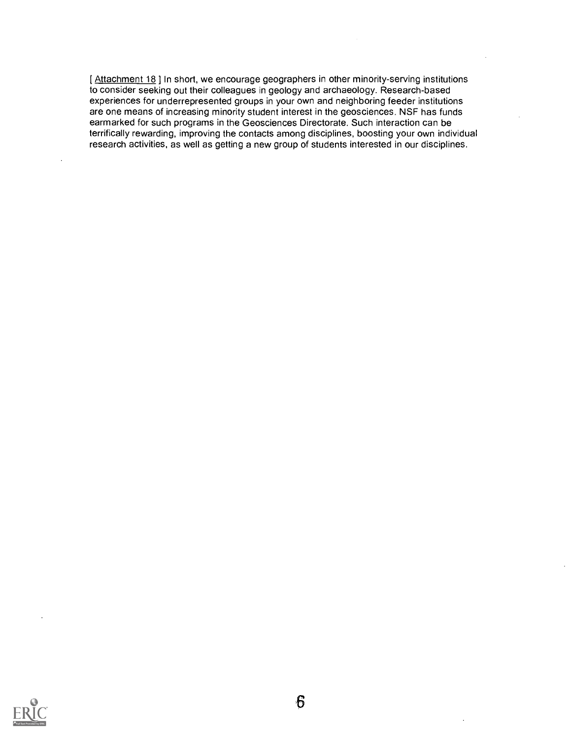[ Attachment 18 ] In short, we encourage geographers in other minority-serving institutions to consider seeking out their colleagues in geology and archaeology. Research-based experiences for underrepresented groups in your own and neighboring feeder institutions are one means of increasing minority student interest in the geosciences. NSF has funds earmarked for such programs in the Geosciences Directorate. Such interaction can be terrifically rewarding, improving the contacts among disciplines, boosting your own individual research activities, as well as getting a new group of students interested in our disciplines.

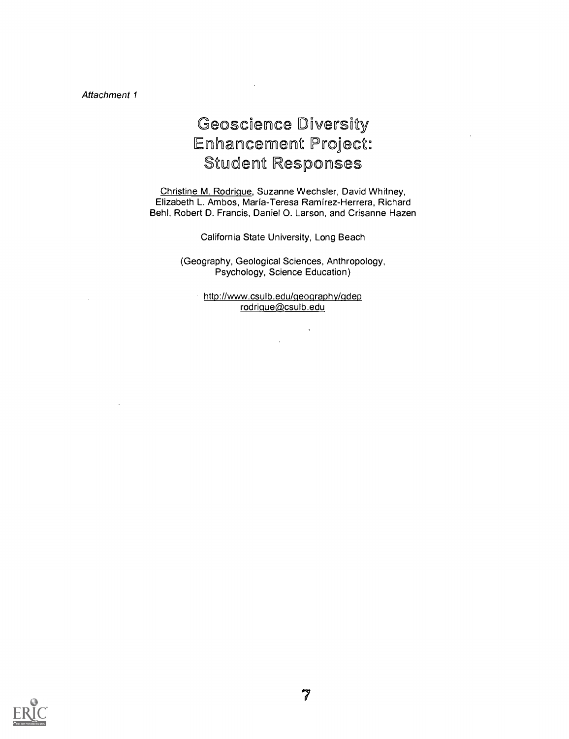# Geoscience Diversity Enhancement Project: Student Responses

Christine M. Rodrique, Suzanne Wechsler, David Whitney, Elizabeth L. Ambos, Maria-Teresa Ramirez-Herrera, Richard Behl, Robert D. Francis, Daniel 0. Larson, and Crisanne Hazen

California State University, Long Beach

(Geography, Geological Sciences, Anthropology, Psychology, Science Education)

> http://www.csulb.edu/qeography/qdep rodrigue@csulb.edu

> > $\overline{a}$

 $\bar{\alpha}$ 

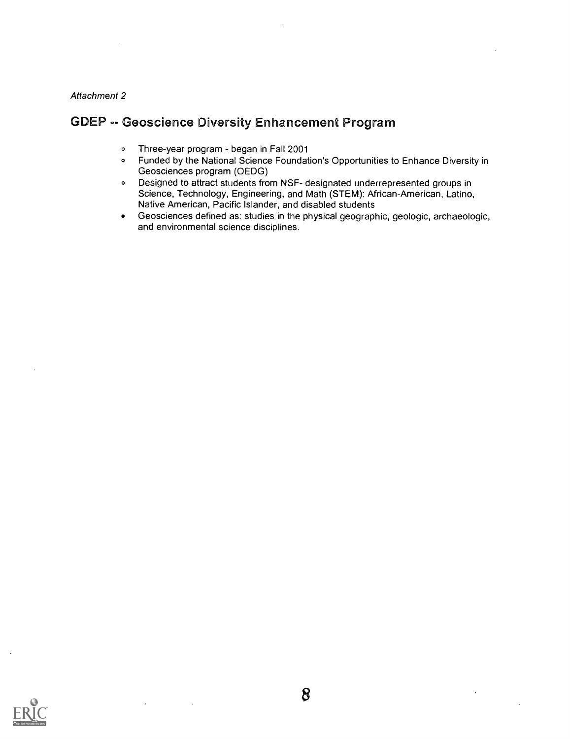## GDEP -- Geoscience Diversity Enhancement Program

- o Three-year program began in Fall 2001
- <sup>O</sup> Funded by the National Science Foundation's Opportunities to Enhance Diversity in Geosciences program (OEDG)
- <sup>O</sup> Designed to attract students from NSF- designated underrepresented groups in Science, Technology, Engineering, and Math (STEM): African-American, Latino, Native American, Pacific Islander, and disabled students
- Geosciences defined as: studies in the physical geographic, geologic, archaeologic,  $\bullet$ and environmental science disciplines.

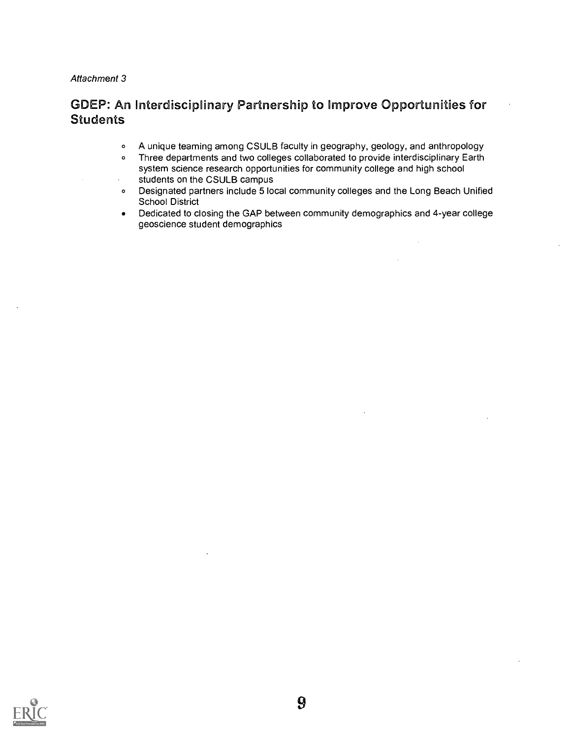# GDEP: An Interdisciplinary Partnership to improve Opportunities for Students

- <sup>o</sup> A unique teaming among CSULB faculty in geography, geology, and anthropology
- <sup>o</sup> Three departments and two colleges collaborated to provide interdisciplinary Earth system science research opportunities for community college and high school students on the CSULB campus
- <sup>o</sup> Designated partners include 5 local community colleges and the Long Beach Unified School District
- Dedicated to closing the GAP between community demographics and 4-year college  $\bullet$ geoscience student demographics

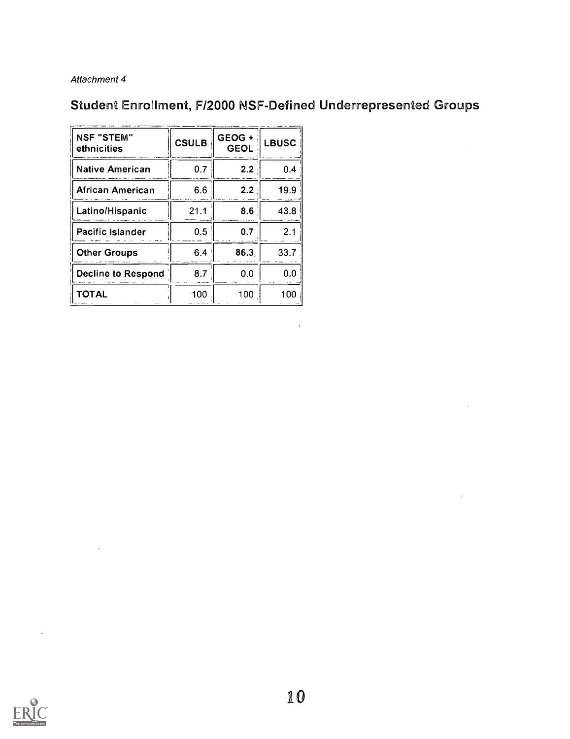# Student Enrollment, F/2000 NSF-Defined Underrepresented Groups

 $\bar{.}$ 

| <b>NSF "STEM"</b><br>ethnicities | <b>CSULB</b> | GEOG +<br><b>GEOL</b> | <b>LBUSC</b> |
|----------------------------------|--------------|-----------------------|--------------|
| <b>Native American</b>           | 0.7          | 2.2                   | 0.4          |
| African American                 | 6.6          | 2.2                   | 19.9         |
| Latino/Hispanic                  | 21.1         | 8.6                   | 43.8         |
| <b>Pacific Islander</b>          | 0.5          | 0.7                   | 2.1          |
| <b>Other Groups</b>              | 6.4          | 86.3                  | 33.7         |
| <b>Decline to Respond</b>        | 8.7          | 0.0                   | 0.0          |
| ΤΟΤΑL                            | 100          | 100                   | 100          |

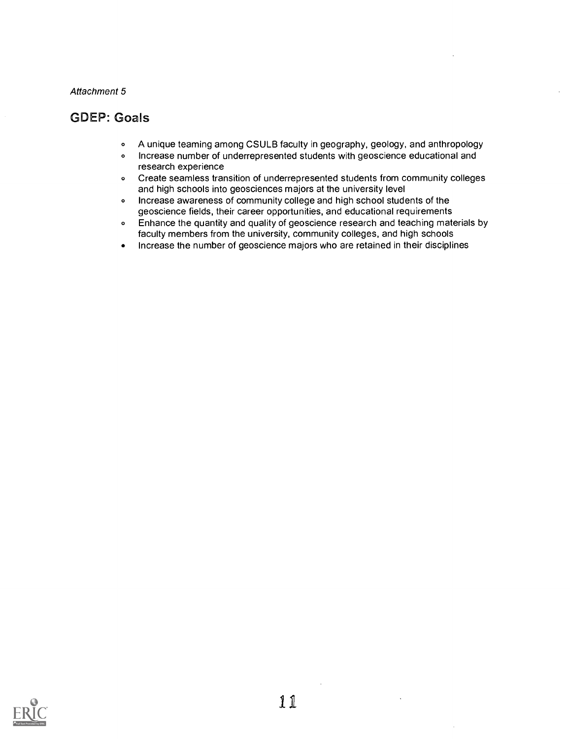#### GDEP: Goals

- <sup>o</sup> A unique teaming among CSULB faculty in geography, geology, and anthropology
- <sup>o</sup> Increase number of underrepresented students with geoscience educational and research experience
- <sup>o</sup> Create seamless transition of underrepresented students from community colleges and high schools into geosciences majors at the university level
- <sup>o</sup> Increase awareness of community college and high school students of the geoscience fields, their career opportunities, and educational requirements
- <sup>o</sup> Enhance the quantity and quality of geoscience research and teaching materials by faculty members from the university, community colleges, and high schools
- Increase the number of geoscience majors who are retained in their disciplines

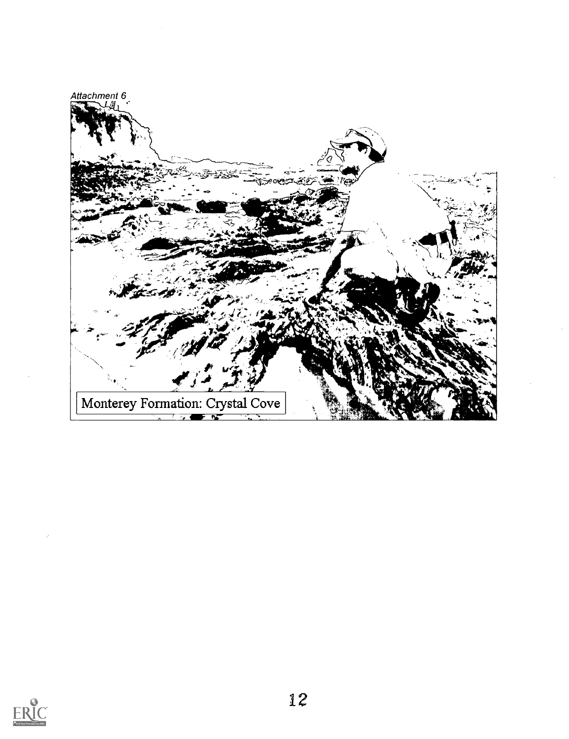

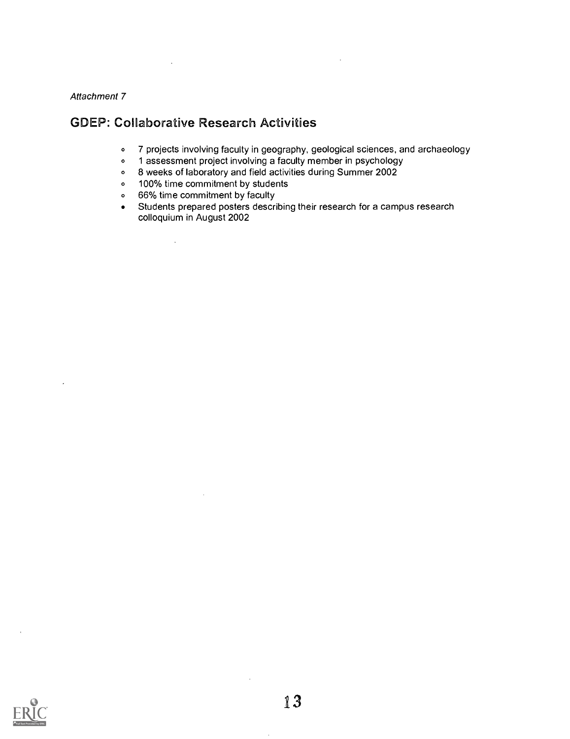### GDEP: Collaborative Research Activities

- <sup>o</sup> 7 projects involving faculty in geography, geological sciences, and archaeology
- o 1 assessment project involving a faculty member in psychology
- <sup>O</sup> 8 weeks of laboratory and field activities during Summer 2002
- o 100% time commitment by students
- o 66% time commitment by faculty

 $\hat{\mathcal{A}}$ 

Students prepared posters describing their research for a campus research  $\bullet$ colloquium in August 2002

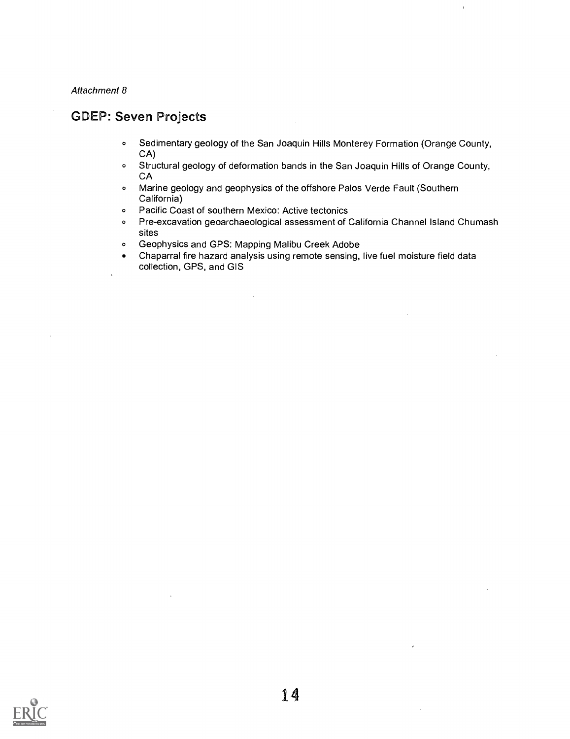$\ddot{\phantom{a}}$ 

### GDEP: Seven Projects

- <sup>o</sup> Sedimentary geology of the San Joaquin Hills Monterey Formation (Orange County, CA)
- <sup>o</sup> Structural geology of deformation bands in the San Joaquin Hills of Orange County, CA
- <sup>o</sup> Marine geology and geophysics of the offshore Palos Verde Fault (Southern California)
- <sup>o</sup> Pacific Coast of southern Mexico: Active tectonics
- <sup>o</sup> Pre-excavation geoarchaeological assessment of California Channel Island Chumash sites
- <sup>o</sup> Geophysics and GPS: Mapping Malibu Creek Adobe
- Chaparral fire hazard analysis using remote sensing, live fuel moisture field data collection, GPS, and GIS

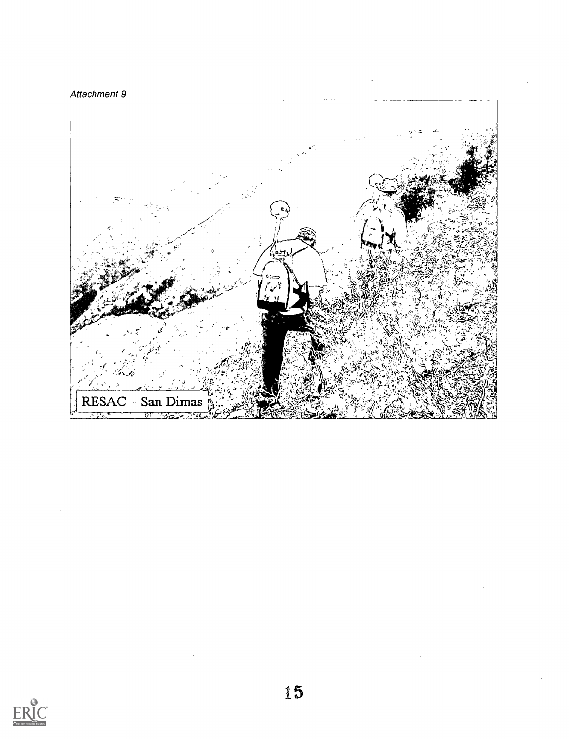



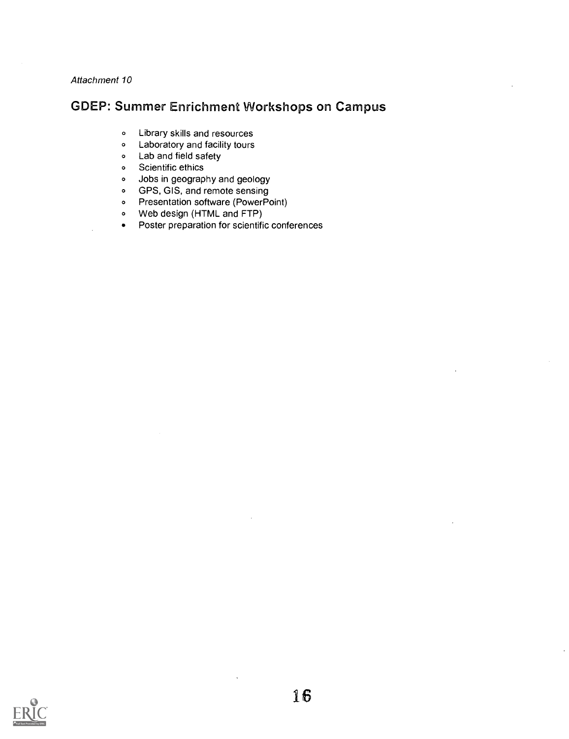## GDEP: Summer Enrichment Workshops on Campus

- <sup>o</sup> Library skills and resources
- <sup>o</sup> Laboratory and facility tours
- <sup>o</sup> Lab and field safety
- <sup>o</sup> Scientific ethics
- <sup>o</sup> Jobs in geography and geology
- <sup>o</sup> GPS, GIS, and remote sensing
- <sup>o</sup> Presentation software (Power Point)
- <sup>o</sup> Web design (HTML and FTP)
- Poster preparation for scientific conferences

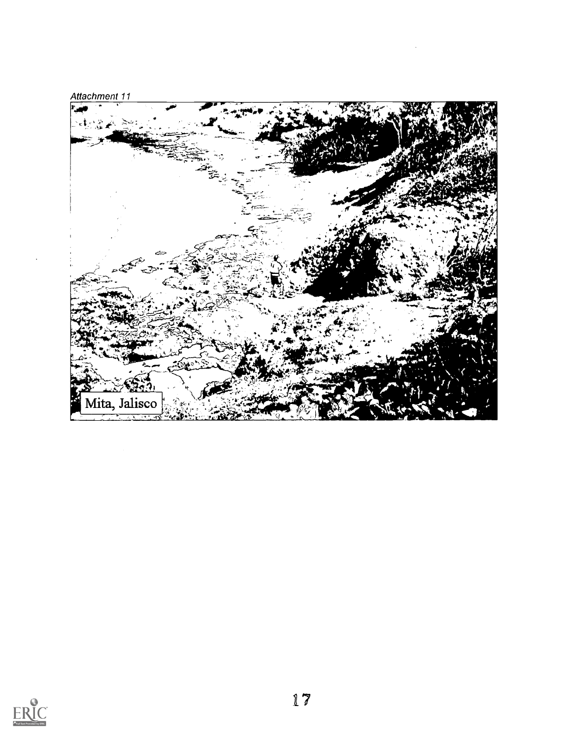

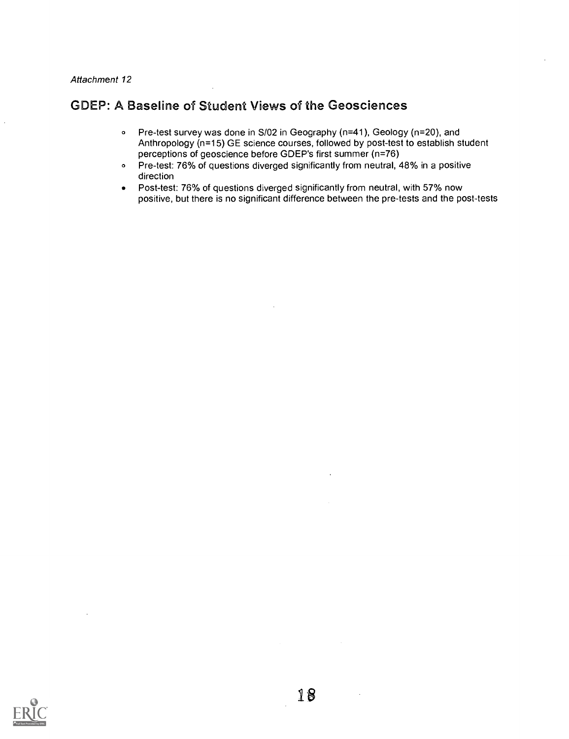### GDEP: A Baseline of Student Views of the Geosciences

- <sup>o</sup> Pre-test survey was done in S/02 in Geography (n=41), Geology (n=20), and Anthropology (n=15) GE science courses, followed by post-test to establish student perceptions of geoscience before GDEP's first summer (n=76)
- <sup>o</sup> Pre-test: 76% of questions diverged significantly from neutral, 48% in a positive direction
- Post-test: 76% of questions diverged significantly from neutral, with 57% now  $\bullet$ positive, but there is no significant difference between the pre-tests and the post-tests

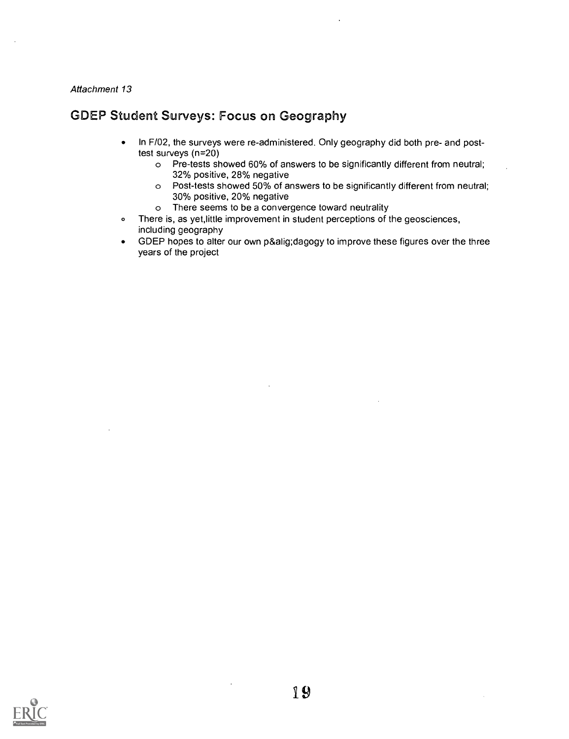## GDEP Student Surveys: Focus on Geography

- In F102, the surveys were re-administered. Only geography did both pre- and post- $\bullet$ test surveys (n=20)
	- o Pre-tests showed 60% of answers to be significantly different from neutral; 32% positive, 28% negative
	- o Post-tests showed 50% of answers to be significantly different from neutral; 30% positive, 20% negative
	- o There seems to be a convergence toward neutrality
- o There is, as yet, little improvement in student perceptions of the geosciences, including geography
- GDEP hopes to alter our own p&alig;dagogy to improve these figures over the three years of the project

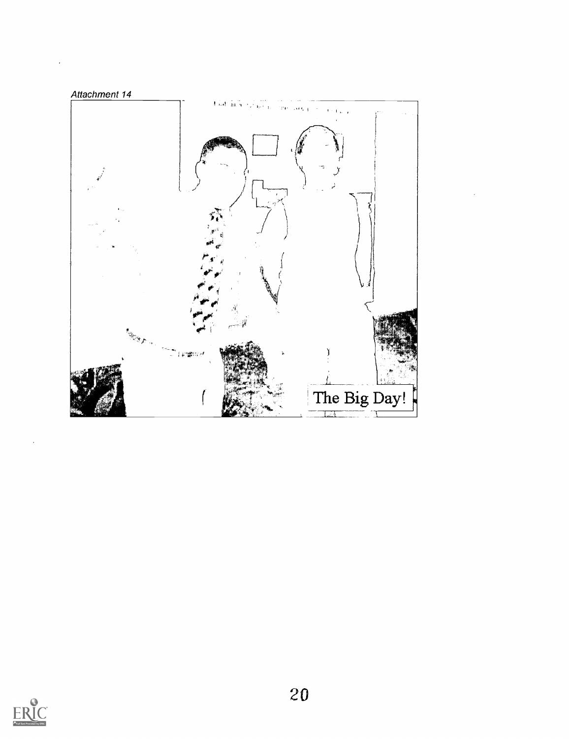

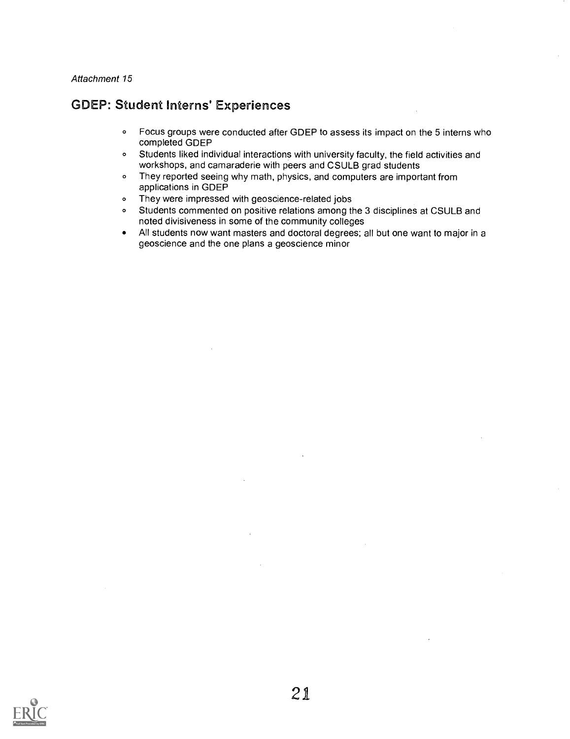### GDEP: Student Interns' Experiences

- <sup>o</sup> Focus groups were conducted after GDEP to assess its impact on the 5 interns who completed GDEP
- <sup>o</sup> Students liked individual interactions with university faculty, the field activities and workshops, and camaraderie with peers and CSULB grad students
- <sup>o</sup> They reported seeing why math, physics, and computers are important from applications in GDEP
- <sup>o</sup> They were impressed with geoscience-related jobs
- <sup>o</sup> Students commented on positive relations among the 3 disciplines at CSULB and noted divisiveness in some of the community colleges
- All students now want masters and doctoral degrees; all but one want to major in a geoscience and the one plans a geoscience minor

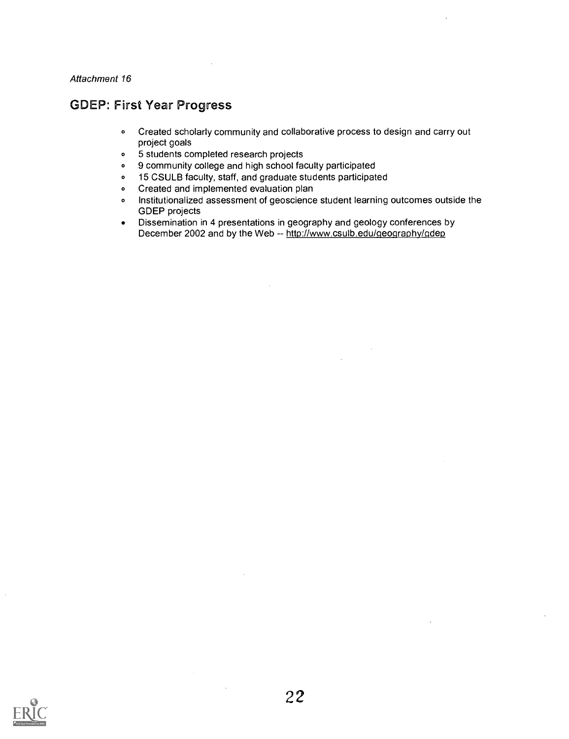#### GDEP: First Year Progress

- <sup>o</sup> Created scholarly community and collaborative process to design and carry out project goals
- <sup>o</sup> 5 students completed research projects
- <sup>o</sup> 9 community college and high school faculty participated
- <sup>o</sup> 15 CSULB faculty, staff, and graduate students participated
- <sup>o</sup> Created and implemented evaluation plan
- <sup>o</sup> Institutionalized assessment of geoscience student learning outcomes outside the GDEP projects
- Dissemination in 4 presentations in geography and geology conferences by December 2002 and by the Web -- http://www.csulb.edu/geography/gdep

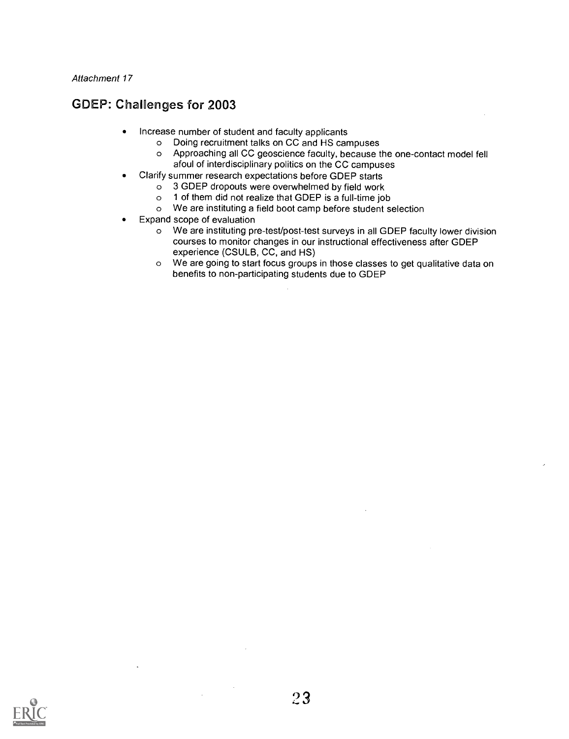## GDEP: Challenges for 2003

- Increase number of student and faculty applicants
	- o Doing recruitment talks on CC and HS campuses
		- o Approaching all CC geoscience faculty, because the one-contact model fell afoul of interdisciplinary politics on the CC campuses
- Clarify summer research expectations before GDEP starts
	- o 3 GDEP dropouts were overwhelmed by field work<br>  $\circ$  1 of them did not realize that GDEP is a full-time join
	- 1 of them did not realize that GDEP is a full-time job
	- o We are instituting a field boot camp before student selection
- Expand scope of evaluation
	- o We are instituting pre-test/post-test surveys in all GDEP faculty lower division courses to monitor changes in our instructional effectiveness after GDEP experience (CSULB, CC, and HS)
	- o We are going to start focus groups in those classes to get qualitative data on benefits to non-participating students due to GDEP

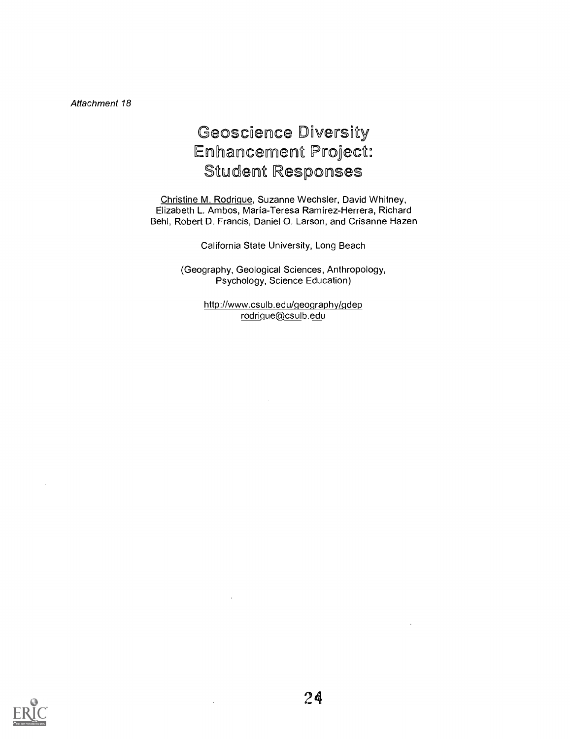# Geoscience Diversity Enhancement Project: Student Responses

Christine M. Rodrique, Suzanne Wechsler, David Whitney, Elizabeth L. Ambos, Maria-Teresa Ramirez-Herrera, Richard Behl, Robert D. Francis, Daniel 0. Larson, and Crisanne Hazen

California State University, Long Beach

(Geography, Geological Sciences, Anthropology, Psychology, Science Education)

> http://www.csulb.edu/qeoqraphy/qdep rodrigue@csulb.edu



 $\bar{z}$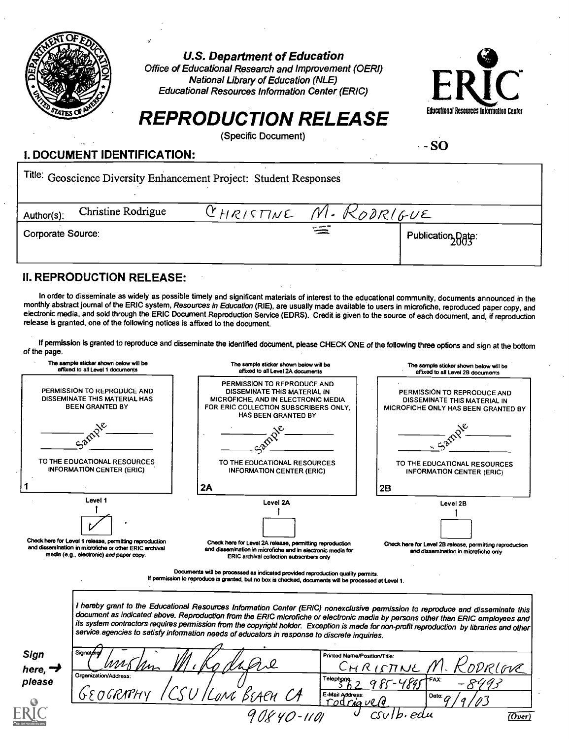

U.S. Department of Education

Office of Educational Research and Improvement (OERI) National Library of Education (NLE) Educational Resources Information Center (ERIC)



# REPRODUCTION RELEASE Educational Resources Information Center

(Specific Document)

#### $-$  SO

### I. DOCUMENT IDENTIFICATION:

Title: Geoscience Diversity Enhancement Project: Student Responses

| Author(s):        | Christine Rodrigue | CHRISTINE M. KODRIGUE |           |                   |
|-------------------|--------------------|-----------------------|-----------|-------------------|
| Corporate Source: |                    |                       | د سے پہلے | Publication Date: |

#### II. REPRODUCTION RELEASE:

In order to disseminate as widely as possible timely and significant materials of interest to the educational community, documents announced in the monthly abstract journal of the ERIC system, Resources in Education (RIE), are usually made available to users in microfiche, reproduced paper copy, and electronic media, and sold through the ERIC Document Reproduction Service (EDRS). Credit is given to the source of each document, and, if reproduction release is granted, one of the following notices is affixed to the document.

If permission is granted to reproduce and disseminate the identified document, please CHECK ONE of the following three options and sign at the bottom of the page.

| The sample sticker shown below will be<br>affixed to all Level 1 documents             |                                                                                                                                                               | The sample sticker shown below will be<br>affixed to all Level 2A documents                                                                                                                                                                                                                                                                                                                                                                                                                                       | The sample sticker shown below will be<br>affixed to all Level 2B documents                        |  |  |
|----------------------------------------------------------------------------------------|---------------------------------------------------------------------------------------------------------------------------------------------------------------|-------------------------------------------------------------------------------------------------------------------------------------------------------------------------------------------------------------------------------------------------------------------------------------------------------------------------------------------------------------------------------------------------------------------------------------------------------------------------------------------------------------------|----------------------------------------------------------------------------------------------------|--|--|
| PERMISSION TO REPRODUCE AND<br>DISSEMINATE THIS MATERIAL HAS<br><b>BEEN GRANTED BY</b> |                                                                                                                                                               | PERMISSION TO REPRODUCE AND<br>DISSEMINATE THIS MATERIAL IN<br>MICROFICHE, AND IN ELECTRONIC MEDIA<br>FOR ERIC COLLECTION SUBSCRIBERS ONLY.<br>HAS BEEN GRANTED BY                                                                                                                                                                                                                                                                                                                                                | PERMISSION TO REPRODUCE AND<br>DISSEMINATE THIS MATERIAL IN<br>MICROFICHE ONLY HAS BEEN GRANTED BY |  |  |
|                                                                                        |                                                                                                                                                               |                                                                                                                                                                                                                                                                                                                                                                                                                                                                                                                   |                                                                                                    |  |  |
| TO THE EDUCATIONAL RESOURCES<br><b>INFORMATION CENTER (ERIC)</b>                       |                                                                                                                                                               | TO THE EDUCATIONAL RESOURCES<br><b>INFORMATION CENTER (ERIC)</b>                                                                                                                                                                                                                                                                                                                                                                                                                                                  | TO THE EDUCATIONAL RESOURCES<br><b>INFORMATION CENTER (ERIC)</b>                                   |  |  |
|                                                                                        |                                                                                                                                                               | 2A                                                                                                                                                                                                                                                                                                                                                                                                                                                                                                                | 2B                                                                                                 |  |  |
|                                                                                        | Level 1                                                                                                                                                       | Level 2A                                                                                                                                                                                                                                                                                                                                                                                                                                                                                                          | Level 2B                                                                                           |  |  |
|                                                                                        |                                                                                                                                                               |                                                                                                                                                                                                                                                                                                                                                                                                                                                                                                                   |                                                                                                    |  |  |
|                                                                                        | Check here for Level 1 release, permitting reproduction<br>and dissemination in microfiche or other ERIC archival<br>media (e.g., electronic) and paper copy. | Check here for Level 2A release, permitting reproduction<br>and dissemination in microfiche and in electronic media for<br>ERIC archival collection subscribers only                                                                                                                                                                                                                                                                                                                                              | Check here for Level 2B release, permitting reproduction<br>and dissemination in microfiche only   |  |  |
|                                                                                        |                                                                                                                                                               | Documents will be processed as indicated provided reproduction quality permits.<br>If permission to reproduce is granted, but no box is checked, documents will be processed at Level 1.                                                                                                                                                                                                                                                                                                                          |                                                                                                    |  |  |
|                                                                                        |                                                                                                                                                               | I hereby grant to the Educational Resources Information Center (ERIC) nonexclusive permission to reproduce and disseminate this<br>document as indicated above. Reproduction from the ERIC microfiche or electronic media by persons other than ERIC employees and<br>its system contractors requires permission from the copyright holder. Exception is mede for non-profit reproduction by libraries and other<br>service agencies to satisfy information needs of educators in response to discrete inquiries. |                                                                                                    |  |  |
| <b>Sign</b><br>here, $\rightarrow$                                                     | Signature<br>Printed Name/Position/Title:<br>DDR(GVE<br>CHRISTINE<br>Organization/Address:                                                                    |                                                                                                                                                                                                                                                                                                                                                                                                                                                                                                                   |                                                                                                    |  |  |
| please                                                                                 | GEOGRAPH                                                                                                                                                      | Telephone:<br>'Loni Braen CA<br>E-Mail Address:<br>rodriguelo                                                                                                                                                                                                                                                                                                                                                                                                                                                     | AΧ٠<br>Date: $\sigma$                                                                              |  |  |
|                                                                                        |                                                                                                                                                               | 90840-1101                                                                                                                                                                                                                                                                                                                                                                                                                                                                                                        | 'b.edu<br>(Over)                                                                                   |  |  |